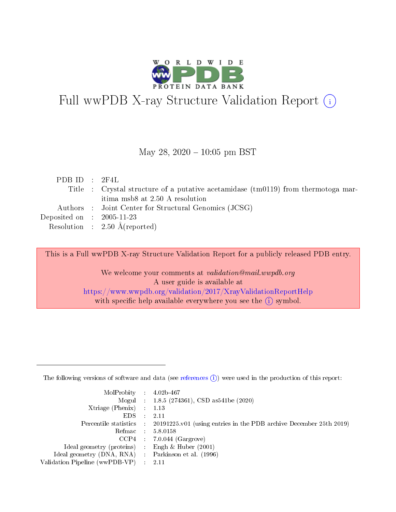

# Full wwPDB X-ray Structure Validation Report (i)

#### May 28,  $2020 - 10:05$  pm BST

| PDBID : 2F4L                         |                                                                                       |
|--------------------------------------|---------------------------------------------------------------------------------------|
|                                      | Title : Crystal structure of a putative acetamidase ( $tm0119$ ) from thermotoga mar- |
|                                      | itima msb8 at 2.50 A resolution                                                       |
|                                      | Authors : Joint Center for Structural Genomics (JCSG)                                 |
| Deposited on $\therefore$ 2005-11-23 |                                                                                       |
|                                      | Resolution : $2.50 \text{ Å}$ (reported)                                              |

This is a Full wwPDB X-ray Structure Validation Report for a publicly released PDB entry.

We welcome your comments at validation@mail.wwpdb.org A user guide is available at <https://www.wwpdb.org/validation/2017/XrayValidationReportHelp> with specific help available everywhere you see the  $(i)$  symbol.

The following versions of software and data (see [references](https://www.wwpdb.org/validation/2017/XrayValidationReportHelp#references)  $(1)$ ) were used in the production of this report:

| $MolProbability$ : 4.02b-467                      |                              |                                                                                            |
|---------------------------------------------------|------------------------------|--------------------------------------------------------------------------------------------|
|                                                   |                              | Mogul : 1.8.5 (274361), CSD as 541be (2020)                                                |
| Xtriage (Phenix) $: 1.13$                         |                              |                                                                                            |
| EDS –                                             | $\sim$                       | -2.11                                                                                      |
|                                                   |                              | Percentile statistics : 20191225.v01 (using entries in the PDB archive December 25th 2019) |
| Refmac : 5.8.0158                                 |                              |                                                                                            |
| CCP4                                              |                              | $7.0.044$ (Gargrove)                                                                       |
| Ideal geometry (proteins)                         | $\mathcal{L}_{\mathrm{eff}}$ | Engh & Huber $(2001)$                                                                      |
| Ideal geometry (DNA, RNA) Parkinson et al. (1996) |                              |                                                                                            |
| Validation Pipeline (wwPDB-VP) : 2.11             |                              |                                                                                            |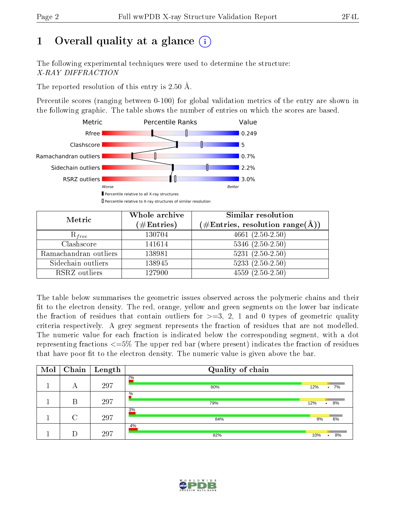## 1 [O](https://www.wwpdb.org/validation/2017/XrayValidationReportHelp#overall_quality)verall quality at a glance  $(i)$

The following experimental techniques were used to determine the structure: X-RAY DIFFRACTION

The reported resolution of this entry is 2.50 Å.

Percentile scores (ranging between 0-100) for global validation metrics of the entry are shown in the following graphic. The table shows the number of entries on which the scores are based.



| Metric                | Whole archive<br>$(\#\mathrm{Entries})$ | Similar resolution<br>$(\#\text{Entries},\,\text{resolution}\,\,\text{range}(\textup{\AA}))$ |
|-----------------------|-----------------------------------------|----------------------------------------------------------------------------------------------|
| $R_{free}$            | 130704                                  | $4661 (2.50 - 2.50)$                                                                         |
| Clashscore            | 141614                                  | $5346$ $(2.50-2.50)$                                                                         |
| Ramachandran outliers | 138981                                  | $\overline{5231}$ $(2.50-2.50)$                                                              |
| Sidechain outliers    | 138945                                  | $5233(2.50-2.50)$                                                                            |
| RSRZ outliers         | 127900                                  | $4559(2.50-2.50)$                                                                            |

The table below summarises the geometric issues observed across the polymeric chains and their fit to the electron density. The red, orange, yellow and green segments on the lower bar indicate the fraction of residues that contain outliers for  $>=3, 2, 1$  and 0 types of geometric quality criteria respectively. A grey segment represents the fraction of residues that are not modelled. The numeric value for each fraction is indicated below the corresponding segment, with a dot representing fractions  $\epsilon=5\%$  The upper red bar (where present) indicates the fraction of residues that have poor fit to the electron density. The numeric value is given above the bar.

| Mol | Chain  | $\overline{\phantom{a}}$ Length | Quality of chain |     |                 |
|-----|--------|---------------------------------|------------------|-----|-----------------|
|     | А      | 297                             | $2\%$<br>80%     | 12% | 7%              |
|     | В      | 297                             | $\%$<br>79%      | 12% | 8%<br>$\bullet$ |
|     | $\cap$ | 297                             | 3%<br>84%        | 9%  | 6%              |
|     |        | 297                             | 4%<br>82%        | 10% | 8%              |

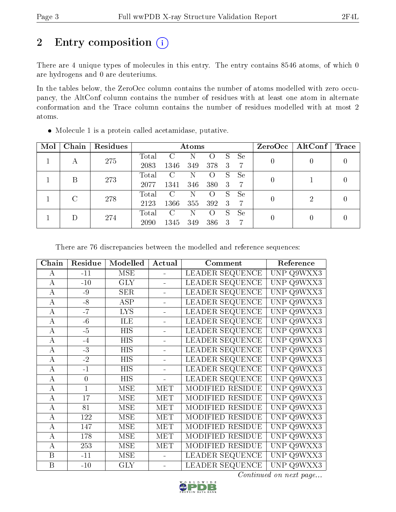## 2 Entry composition (i)

There are 4 unique types of molecules in this entry. The entry contains 8546 atoms, of which 0 are hydrogens and 0 are deuteriums.

In the tables below, the ZeroOcc column contains the number of atoms modelled with zero occupancy, the AltConf column contains the number of residues with at least one atom in alternate conformation and the Trace column contains the number of residues modelled with at most 2 atoms.

| Mol | Chain         | Residues |       | Atoms                       |     |     |    |                |          | $ZeroOcc \   \$ AltConf | $\mid$ Trace |
|-----|---------------|----------|-------|-----------------------------|-----|-----|----|----------------|----------|-------------------------|--------------|
|     | А             | 275      | Total | $\mathbf C$                 | N   |     | S  | Se             | $\theta$ |                         |              |
|     |               |          | 2083  | 1346                        | 349 | 378 | 3  | 7              |          |                         |              |
|     | B             | 273      | Total | $\mathcal{C}$               | N   |     | S  | Se             | $\theta$ |                         |              |
|     |               |          | 2077  | 1341                        | 346 | 380 | 3  | 7              |          |                         |              |
|     | $\mathcal{C}$ | 278      | Total | $\mathcal{C}$               | N   |     | S  | Se             | $\theta$ | 2                       |              |
|     |               | 2123     | 1366  | 355                         | 392 | 3   | -7 |                |          |                         |              |
|     |               | 274      | Total | $\mathcal{C}_{\mathcal{C}}$ | N   |     | S  | Se             |          |                         |              |
|     |               | 2090     | 1345  | 349                         | 386 | 3   | 7  | $\overline{0}$ | 0        |                         |              |

Molecule 1 is a protein called acetamidase, putative.

There are 76 discrepancies between the modelled and reference sequences:

| Chain          | Residue        | Modelled   | Actual     | Comment                 | Reference            |
|----------------|----------------|------------|------------|-------------------------|----------------------|
| A              | $-11$          | <b>MSE</b> | $\equiv$   | LEADER SEQUENCE         | <b>UNP</b><br>Q9WXX3 |
| $\bf{A}$       | $-10$          | <b>GLY</b> |            | LEADER SEQUENCE         | UNP<br>Q9WXX3        |
| $\bf{A}$       | $-9$           | <b>SER</b> |            | <b>LEADER SEQUENCE</b>  | UNP Q9WXX3           |
| $\bf{A}$       | $-8$           | <b>ASP</b> |            | LEADER SEQUENCE         | <b>UNP</b><br>Q9WXX3 |
| $\bf{A}$       | $-7$           | <b>LYS</b> |            | <b>LEADER SEQUENCE</b>  | UNP<br>Q9WXX3        |
| $\bf{A}$       | $-6$           | ILE        |            | <b>LEADER SEQUENCE</b>  | UNP Q9WXX3           |
| $\bf{A}$       | $-5$           | <b>HIS</b> |            | <b>LEADER SEQUENCE</b>  | UNP Q9WXX3           |
| A              | $-4$           | HIS        |            | <b>LEADER SEQUENCE</b>  | <b>UNP</b><br>Q9WXX3 |
| $\bf{A}$       | $-3$           | HIS        |            | <b>LEADER SEQUENCE</b>  | <b>UNP</b><br>Q9WXX3 |
| $\bf{A}$       | $-2$           | HIS        |            | <b>LEADER SEQUENCE</b>  | UNP Q9WXX3           |
| $\bf{A}$       | $-1$           | <b>HIS</b> |            | <b>LEADER SEQUENCE</b>  | <b>UNP</b><br>Q9WXX3 |
| $\bf{A}$       | $\overline{0}$ | <b>HIS</b> |            | <b>LEADER SEQUENCE</b>  | <b>UNP</b><br>Q9WXX3 |
| $\bf{A}$       | $\mathbf{1}$   | <b>MSE</b> | <b>MET</b> | MODIFIED RESIDUE        | UNP Q9WXX3           |
| $\bf{A}$       | 17             | <b>MSE</b> | <b>MET</b> | MODIFIED RESIDUE        | <b>UNP</b><br>Q9WXX3 |
| $\overline{A}$ | 81             | <b>MSE</b> | <b>MET</b> | MODIFIED RESIDUE        | <b>UNP</b><br>Q9WXX3 |
| $\overline{A}$ | 122            | <b>MSE</b> | <b>MET</b> | MODIFIED RESIDUE        | UNP<br>Q9WXX3        |
| $\bf{A}$       | 147            | <b>MSE</b> | MET        | <b>MODIFIED RESIDUE</b> | Q9WXX3<br>UNP        |
| $\bf{A}$       | 178            | <b>MSE</b> | MET        | MODIFIED RESIDUE        | <b>UNP</b><br>Q9WXX3 |
| A              | 253            | <b>MSE</b> | MET        | MODIFIED RESIDUE        | UNP<br>Q9WXX3        |
| B              | $-11$          | <b>MSE</b> |            | LEADER SEQUENCE         | UNP Q9WXX3           |
| $\overline{B}$ | $-10$          | <b>GLY</b> |            | LEADER SEQUENCE         | UNP Q9WXX3           |

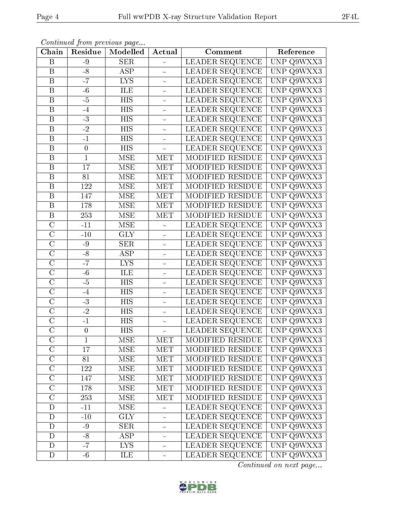|--|

| Continued from previous page |                  |                         |                |                         |                                          |  |  |
|------------------------------|------------------|-------------------------|----------------|-------------------------|------------------------------------------|--|--|
| Chain                        | Residue          | Modelled                | Actual         | Comment                 | Reference                                |  |  |
| $\overline{B}$               | $-9$             | <b>SER</b>              | ÷,             | LEADER SEQUENCE         | UNP Q9WXX3                               |  |  |
| B                            | $-8$             | <b>ASP</b>              | $\equiv$       | LEADER SEQUENCE         | UNP Q9WXX3                               |  |  |
| $\boldsymbol{B}$             | $-7$             | <b>LYS</b>              | $\blacksquare$ | LEADER SEQUENCE         | <b>UNP</b><br>$\overline{Q9WXX3}$        |  |  |
| $\overline{B}$               | $-6$             | ILE                     | ÷,             | <b>LEADER SEQUENCE</b>  | UNP Q9WXX3                               |  |  |
| $\overline{\mathrm{B}}$      | $-5$             | $\overline{HIS}$        | $\blacksquare$ | LEADER SEQUENCE         | <b>UNP</b><br>Q9WXX3                     |  |  |
| B                            | $-4$             | HIS                     | $\equiv$       | LEADER SEQUENCE         | <b>UNP</b><br>Q9WXX3                     |  |  |
| $\boldsymbol{B}$             | $-3$             | HIS                     | $\equiv$       | <b>LEADER SEQUENCE</b>  | <b>UNP</b><br>Q9WXX3                     |  |  |
| $\overline{\mathbf{B}}$      | $\overline{-2}$  | <b>HIS</b>              | $\overline{a}$ | LEADER SEQUENCE         | <b>UNP</b><br>Q9WXX3                     |  |  |
| $\overline{B}$               | $-1$             | <b>HIS</b>              | $\equiv$       | LEADER SEQUENCE         | <b>UNP</b><br>Q9WXX3                     |  |  |
| B                            | $\boldsymbol{0}$ | HIS                     | $\equiv$       | LEADER SEQUENCE         | <b>UNP</b><br>Q9WXX3                     |  |  |
| $\overline{B}$               | $\mathbf{1}$     | <b>MSE</b>              | <b>MET</b>     | MODIFIED RESIDUE        | <b>UNP</b><br>Q9WXX3                     |  |  |
| $\overline{\mathrm{B}}$      | 17               | <b>MSE</b>              | <b>MET</b>     | <b>MODIFIED RESIDUE</b> | <b>UNP</b><br>$\overline{Q9WXX3}$        |  |  |
| $\overline{B}$               | 81               | <b>MSE</b>              | <b>MET</b>     | MODIFIED RESIDUE        | <b>UNP</b><br>Q9WXX3                     |  |  |
| $\boldsymbol{B}$             | 122              | <b>MSE</b>              | <b>MET</b>     | MODIFIED RESIDUE        | <b>UNP</b><br>Q9WXX3                     |  |  |
| $\overline{\mathrm{B}}$      | 147              | $\overline{\text{MSE}}$ | <b>MET</b>     | MODIFIED RESIDUE        | <b>UNP</b><br>Q9WXX3                     |  |  |
| $\overline{B}$               | 178              | <b>MSE</b>              | <b>MET</b>     | MODIFIED RESIDUE        | <b>UNP</b><br>$\overline{Q9WXX3}$        |  |  |
| $\overline{\mathrm{B}}$      | $\overline{253}$ | <b>MSE</b>              | <b>MET</b>     | MODIFIED RESIDUE        | <b>UNP</b><br>$\overline{Q9WXX3}$        |  |  |
| $\overline{C}$               | $-11$            | <b>MSE</b>              | ÷,             | LEADER SEQUENCE         | <b>UNP</b><br>Q9WXX3                     |  |  |
| $\overline{\rm C}$           | $-10$            | <b>GLY</b>              | $\overline{a}$ | LEADER SEQUENCE         | <b>UNP</b><br>Q9WXX3                     |  |  |
| $\overline{\rm C}$           | $-9$             | <b>SER</b>              | $\blacksquare$ | LEADER SEQUENCE         | <b>UNP</b><br>$\overline{\text{Q9WXX3}}$ |  |  |
| $\overline{\rm C}$           | $-8$             | <b>ASP</b>              | ä,             | LEADER SEQUENCE         | <b>UNP</b><br>Q9WXX3                     |  |  |
| $\overline{\rm C}$           | $-\overline{7}$  | <b>LYS</b>              | $\equiv$       | LEADER SEQUENCE         | <b>UNP</b><br>Q9WXX3                     |  |  |
| $\overline{\rm C}$           | $-6$             | ILE                     | ÷,             | LEADER SEQUENCE         | $\ensuremath{\mathrm{UNP}}$<br>Q9WXX3    |  |  |
| $\overline{\text{C}}$        | $-5$             | <b>HIS</b>              | $\blacksquare$ | LEADER SEQUENCE         | <b>UNP</b><br>Q9WXX3                     |  |  |
| $\overline{C}$               | $-4$             | HIS                     | ÷.             | <b>LEADER SEQUENCE</b>  | <b>UNP</b><br>Q9WXX3                     |  |  |
| $\overline{\text{C}}$        | $-3$             | <b>HIS</b>              | ä,             | LEADER SEQUENCE         | <b>UNP</b><br>Q9WXX3                     |  |  |
| $\overline{\rm C}$           | $\overline{-2}$  | <b>HIS</b>              | ÷,             | <b>LEADER SEQUENCE</b>  | $\overline{\text{UNP}}$<br>Q9WXX3        |  |  |
| $\overline{C}$               | $-1$             | <b>HIS</b>              | ÷              | LEADER SEQUENCE         | UNP Q9WXX3                               |  |  |
| $\mathcal C$                 | $\theta$         | HIS                     | $\frac{1}{2}$  | LEADER SEQUENCE         | UNP Q9WXX3                               |  |  |
| $\overline{C}$               | $\mathbf 1$      | MSE                     | <b>MET</b>     | MODIFIED RESIDUE        | UNP Q9WXX3                               |  |  |
| $\overline{\mathrm{C}}$      | 17               | <b>MSE</b>              | <b>MET</b>     | MODIFIED RESIDUE        | UNP Q9WXX3                               |  |  |
| $\overline{C}$               | 81               | MSE                     | MET            | MODIFIED RESIDUE        | UNP Q9WXX3                               |  |  |
| $\mathcal{C}$                | 122              | MSE                     | MET            | MODIFIED RESIDUE        | UNP Q9WXX3                               |  |  |
| $\overline{\rm C}$           | 147              | MSE                     | MET            | MODIFIED RESIDUE        | UNP Q9WXX3                               |  |  |
| $\mathcal{C}$                | 178              | <b>MSE</b>              | MET            | MODIFIED RESIDUE        | UNP Q9WXX3                               |  |  |
| $\overline{\rm C}$           | 253              | <b>MSE</b>              | <b>MET</b>     | MODIFIED RESIDUE        | UNP Q9WXX3                               |  |  |
| D                            | $-11$            | <b>MSE</b>              | ÷              | <b>LEADER SEQUENCE</b>  | UNP Q9WXX3                               |  |  |
| $\mathbf D$                  | $-10$            | <b>GLY</b>              | -              | LEADER SEQUENCE         | UNP Q9WXX3                               |  |  |
| $\mathbf D$                  | $-9$             | <b>SER</b>              | -              | LEADER SEQUENCE         | UNP Q9WXX3                               |  |  |
| $\mathbf{D}$                 | $-8$             | $\operatorname{ASP}$    | ÷,             | LEADER SEQUENCE         | UNP Q9WXX3                               |  |  |
| D                            | $-7$             | LYS.                    | ÷              | LEADER SEQUENCE         | UNP Q9WXX3                               |  |  |
| $\mathbf D$                  | $-6$             | ILE                     | ÷              | LEADER SEQUENCE         | UNP Q9WXX3                               |  |  |

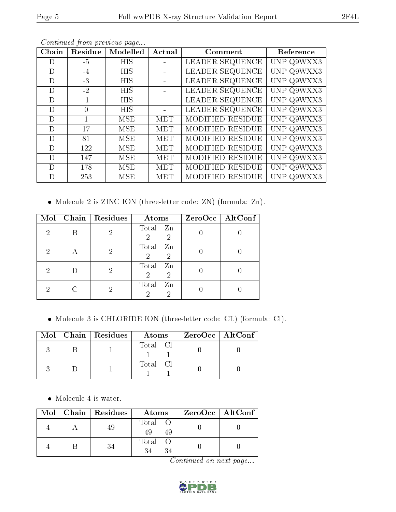| Chain | Residue  | Modelled   | Actual     | Comment                 | Reference  |
|-------|----------|------------|------------|-------------------------|------------|
| D)    | $-5$     | HIS        |            | LEADER SEQUENCE         | UNP Q9WXX3 |
| D     | $-4$     | <b>HIS</b> |            | LEADER SEQUENCE         | UNP Q9WXX3 |
| D     | $-3$     | HIS        |            | LEADER SEQUENCE         | UNP Q9WXX3 |
| D     | $-2$     | <b>HIS</b> |            | LEADER SEQUENCE         | UNP Q9WXX3 |
| D     | $-1$     | <b>HIS</b> |            | LEADER SEQUENCE         | UNP Q9WXX3 |
| D     | $\theta$ | <b>HIS</b> |            | LEADER SEQUENCE         | UNP Q9WXX3 |
| D     |          | MSE        | MET        | MODIFIED RESIDUE        | UNP Q9WXX3 |
| D     | 17       | <b>MSE</b> | <b>MET</b> | MODIFIED RESIDUE        | UNP Q9WXX3 |
| D     | 81       | MSE        | <b>MET</b> | MODIFIED RESIDUE        | UNP Q9WXX3 |
| D     | 122      | MSE        | <b>MET</b> | <b>MODIFIED RESIDUE</b> | UNP Q9WXX3 |
| D     | 147      | MSE        | <b>MET</b> | MODIFIED RESIDUE        | UNP Q9WXX3 |
| D     | 178      | MSE        | <b>MET</b> | MODIFIED RESIDUE        | UNP Q9WXX3 |
| D     | 253      | MSE        | MET        | MODIFIED RESIDUE        | UNP Q9WXX3 |

Continued from previous page...

Molecule 2 is ZINC ION (three-letter code: ZN) (formula: Zn).

| Mol            | Chain   Residues | Atoms                                           | ZeroOcc   AltConf |
|----------------|------------------|-------------------------------------------------|-------------------|
| $\overline{2}$ | ച                | Total Zn<br>$\overline{2}$<br>$\overline{2}$    |                   |
| 2              | റ                | Total<br>Zn<br>2<br>$\overline{2}$              |                   |
| 2              | 2                | Total<br>Zn<br>$\overline{2}$<br>$\overline{2}$ |                   |
| 2              | 2                | Total<br>Zn<br>$\mathcal{D}$<br>2               |                   |

Molecule 3 is CHLORIDE ION (three-letter code: CL) (formula: Cl).

|  | $Mol$   Chain   Residues | Atoms    | $ZeroOcc \   \ AltConf$ |
|--|--------------------------|----------|-------------------------|
|  |                          | Total Cl |                         |
|  |                          | Total Cl |                         |

• Molecule 4 is water.

|  | Mol   Chain   Residues | Atoms               | ZeroOcc   AltConf |
|--|------------------------|---------------------|-------------------|
|  |                        | Total O<br>49<br>49 |                   |
|  | 34                     | Total               |                   |

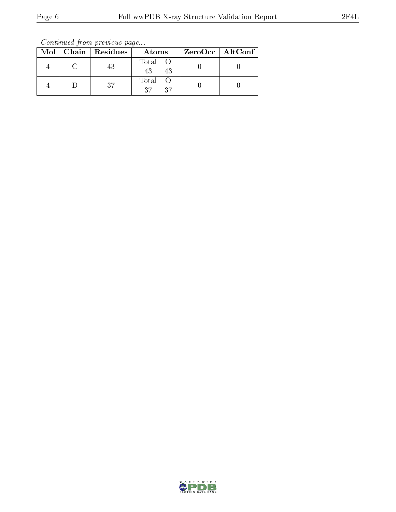Continued from previous page...

|  | Mol   Chain   Residues | Atoms               | ZeroOcc   AltConf |
|--|------------------------|---------------------|-------------------|
|  | 43                     | Total O<br>43<br>43 |                   |
|  | 37                     | Total<br>27<br>-37  |                   |

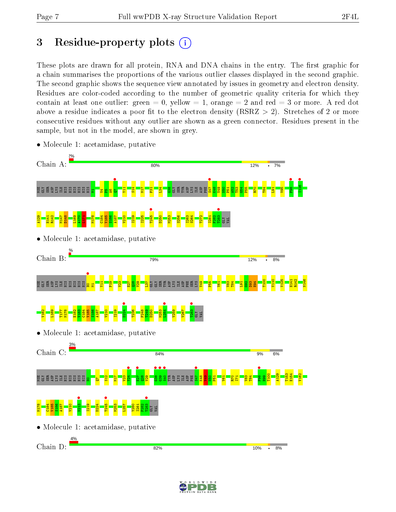## 3 Residue-property plots  $(i)$

These plots are drawn for all protein, RNA and DNA chains in the entry. The first graphic for a chain summarises the proportions of the various outlier classes displayed in the second graphic. The second graphic shows the sequence view annotated by issues in geometry and electron density. Residues are color-coded according to the number of geometric quality criteria for which they contain at least one outlier: green  $= 0$ , yellow  $= 1$ , orange  $= 2$  and red  $= 3$  or more. A red dot above a residue indicates a poor fit to the electron density (RSRZ  $> 2$ ). Stretches of 2 or more consecutive residues without any outlier are shown as a green connector. Residues present in the sample, but not in the model, are shown in grey.



• Molecule 1: acetamidase, putative

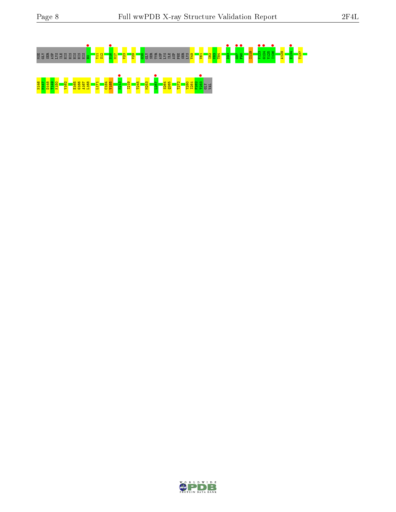

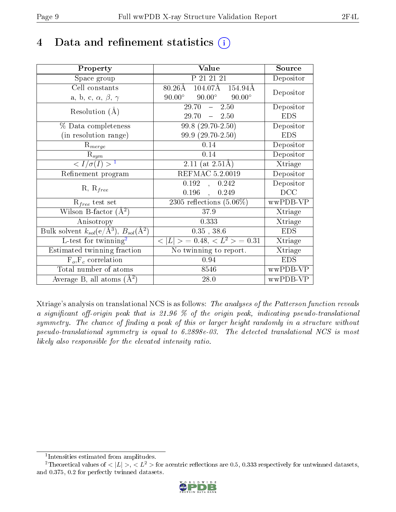## 4 Data and refinement statistics  $(i)$

| Property                                                                                        | Value                                              | Source     |
|-------------------------------------------------------------------------------------------------|----------------------------------------------------|------------|
| Space group                                                                                     | P 21 21 21                                         | Depositor  |
| Cell constants                                                                                  | $104.07\text{\AA}$<br>$80.26\text{\AA}$<br>154.94Å | Depositor  |
| a, b, c, $\alpha$ , $\beta$ , $\gamma$                                                          | $90.00^\circ$<br>$90.00^{\circ}$ $90.00^{\circ}$   |            |
| Resolution $(A)$                                                                                | $-2.50$<br>29.70                                   | Depositor  |
|                                                                                                 | $29.70 - 2.50$                                     | <b>EDS</b> |
| % Data completeness                                                                             | $99.8(29.70-2.50)$                                 | Depositor  |
| (in resolution range)                                                                           | 99.9 (29.70-2.50)                                  | <b>EDS</b> |
| $R_{merge}$                                                                                     | 0.14                                               | Depositor  |
| $\mathrm{R}_{sym}$                                                                              | 0.14                                               | Depositor  |
| $\langle I/\sigma(I) \rangle^{-1}$                                                              | 2.11 (at $2.51\text{\AA}$ )                        | Xtriage    |
| Refinement program                                                                              | REFMAC 5.2.0019                                    | Depositor  |
| $R, R_{free}$                                                                                   | 0.192<br>0.242<br>$\overline{\phantom{a}}$         | Depositor  |
|                                                                                                 | $0.196$ ,<br>0.249                                 | DCC        |
| $R_{free}$ test set                                                                             | 2305 reflections $(5.06\%)$                        | wwPDB-VP   |
| Wilson B-factor $(A^2)$                                                                         | 37.9                                               | Xtriage    |
| Anisotropy                                                                                      | 0.333                                              | Xtriage    |
| $\overline{\mathrm{Bulk}}$ solvent $k_{sol}(\mathrm{e}/\mathrm{A}^3)$ , $B_{sol}(\mathrm{A}^2)$ | $0.35$ , 38.6                                      | <b>EDS</b> |
| L-test for twinning <sup>2</sup>                                                                | $< L >$ = 0.48, $< L2 >$ = 0.31                    | Xtriage    |
| Estimated twinning fraction                                                                     | No twinning to report.                             | Xtriage    |
| $F_o, F_c$ correlation                                                                          | 0.94                                               | <b>EDS</b> |
| Total number of atoms                                                                           | 8546                                               | wwPDB-VP   |
| Average B, all atoms $(A^2)$                                                                    | 28.0                                               | wwPDB-VP   |

Xtriage's analysis on translational NCS is as follows: The analyses of the Patterson function reveals a significant off-origin peak that is 21.96  $\%$  of the origin peak, indicating pseudo-translational symmetry. The chance of finding a peak of this or larger height randomly in a structure without pseudo-translational symmetry is equal to 6.2898e-03. The detected translational NCS is most likely also responsible for the elevated intensity ratio.

<sup>&</sup>lt;sup>2</sup>Theoretical values of  $\langle |L| \rangle$ ,  $\langle L^2 \rangle$  for acentric reflections are 0.5, 0.333 respectively for untwinned datasets, and 0.375, 0.2 for perfectly twinned datasets.



<span id="page-8-1"></span><span id="page-8-0"></span><sup>1</sup> Intensities estimated from amplitudes.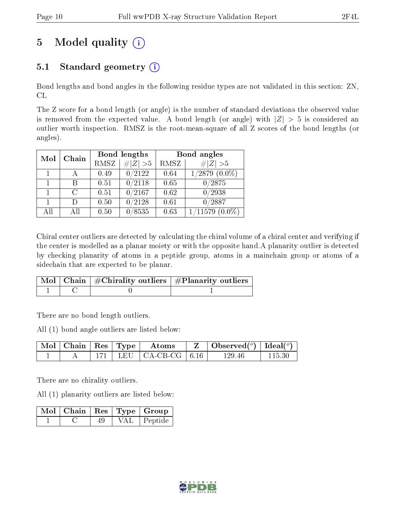## 5 Model quality  $(i)$

### 5.1 Standard geometry  $(i)$

Bond lengths and bond angles in the following residue types are not validated in this section: ZN, CL

The Z score for a bond length (or angle) is the number of standard deviations the observed value is removed from the expected value. A bond length (or angle) with  $|Z| > 5$  is considered an outlier worth inspection. RMSZ is the root-mean-square of all Z scores of the bond lengths (or angles).

| Mol | Chain  | Bond lengths |             | Bond angles |                     |
|-----|--------|--------------|-------------|-------------|---------------------|
|     |        | <b>RMSZ</b>  | $\# Z  > 5$ | RMSZ        | # $ Z >5$           |
|     |        | 0.49         | 0/2122      | 0.64        | $1/2879$ $(0.0\%)$  |
|     |        | 0.51         | 0/2118      | 0.65        | 0/2875              |
|     | C      | 0.51         | 0/2167      | 0.62        | 0/2938              |
|     | $\Box$ | 0.50         | 0/2128      | 0.61        | $\sqrt{0/2887}$     |
| All | Αll    | 0.50         | 0/8535      | 0.63        | $1/11579$ $(0.0\%)$ |

Chiral center outliers are detected by calculating the chiral volume of a chiral center and verifying if the center is modelled as a planar moiety or with the opposite hand.A planarity outlier is detected by checking planarity of atoms in a peptide group, atoms in a mainchain group or atoms of a sidechain that are expected to be planar.

|  | $\mid$ Mol $\mid$ Chain $\mid$ #Chirality outliers $\mid$ #Planarity outliers $'$ |
|--|-----------------------------------------------------------------------------------|
|  |                                                                                   |

There are no bond length outliers.

All (1) bond angle outliers are listed below:

| $\mid$ Mol $\mid$ Chain $\mid$ Res $\mid$ Type $\mid$ |  | Atoms                         | $\vert$ Observed $(^\circ)$   Ideal $(^\circ)$ |  |
|-------------------------------------------------------|--|-------------------------------|------------------------------------------------|--|
|                                                       |  | $171$   LEU   CA-CB-CG   6.16 | 129.46                                         |  |

There are no chirality outliers.

All (1) planarity outliers are listed below:

|  |  | $\sqrt{\text{Mol} + \text{Chain}} + \text{Res} + \text{Type} + \text{Group} + \sqrt{\text{Cov} + \text{Cov}}$ |
|--|--|---------------------------------------------------------------------------------------------------------------|
|  |  | VAL   Peptide                                                                                                 |

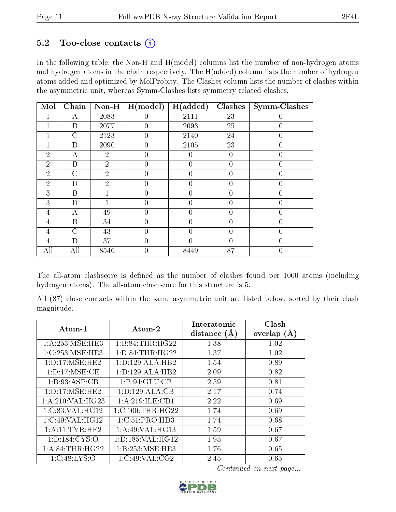#### $5.2$  Too-close contacts  $(i)$

In the following table, the Non-H and H(model) columns list the number of non-hydrogen atoms and hydrogen atoms in the chain respectively. The H(added) column lists the number of hydrogen atoms added and optimized by MolProbity. The Clashes column lists the number of clashes within the asymmetric unit, whereas Symm-Clashes lists symmetry related clashes.

| Mol            | Chain          | $Non-H$        | H (model)        | H(added)       | Clashes        | <b>Symm-Clashes</b> |
|----------------|----------------|----------------|------------------|----------------|----------------|---------------------|
|                | А              | 2083           | 0                | 2111           | 23             |                     |
|                | B              | 2077           | $\left( \right)$ | 2093           | 25             |                     |
|                | $\overline{C}$ | 2123           | $\theta$         | 2140           | 24             | $\theta$            |
|                | D              | 2090           | 0                | 2105           | 23             | 0                   |
| $\overline{2}$ | А              | $\overline{2}$ | 0                | 0              | $\overline{0}$ | $\theta$            |
| $\overline{2}$ | B              | $\overline{2}$ | $\theta$         | $\theta$       | $\overline{0}$ | $\theta$            |
| $\overline{2}$ | C              | $\overline{2}$ | 0                | 0              | $\overline{0}$ | $\left( \right)$    |
| $\overline{2}$ | D              | $\overline{2}$ | 0                | $\theta$       | $\theta$       | 0                   |
| 3              | B              |                | $\theta$         | $\theta$       | $\theta$       | $\theta$            |
| 3              | D              |                | 0                | $\overline{0}$ | $\overline{0}$ | $\left( \right)$    |
| 4              | А              | 49             | 0                | $\theta$       | $\overline{0}$ | 0                   |
| $\overline{4}$ | B              | 34             | $\theta$         | $\theta$       | $\overline{0}$ | $\theta$            |
| 4              | C              | 43             | 0                | 0              | $\overline{0}$ |                     |
| 4              | D              | 37             | 0                | 0              | $\theta$       | 0                   |
| All            | All            | 8546           | $\theta$         | 8449           | 87             | $\theta$            |

The all-atom clashscore is defined as the number of clashes found per 1000 atoms (including hydrogen atoms). The all-atom clashscore for this structure is 5.

All (87) close contacts within the same asymmetric unit are listed below, sorted by their clash magnitude.

| Atom-1             | Atom-2              | Interatomic    | Clash         |
|--------------------|---------------------|----------------|---------------|
|                    |                     | distance $(A)$ | overlap $(A)$ |
| 1: A:253: MSE:HE3  | 1:B:84:THR:HG22     | 1.38           | 1.02          |
| 1:C:253:MSE:HE3    | 1: D:84:THR:HG22    | 1.37           | 1.02          |
| 1: D: 17: MSE: HE2 | 1: D: 129: ALA: HB2 | 1.54           | 0.89          |
| 1: D: 17: MSE: CE  | 1: D: 129: ALA: HB2 | 2.09           | 0.82          |
| 1:B:93:ASP:CB      | 1: B:94: GLU:CB     | 2.59           | 0.81          |
| 1: D: 17: MSE: HE2 | 1: D: 129: ALA: CB  | 2.17           | 0.74          |
| 1: A:210: VAL:HG23 | 1: A:219: ILE: CD1  | 2.22           | 0.69          |
| 1:C:83:VAL:HG12    | 1:C:100:THR:HG22    | 1.74           | 0.69          |
| 1:C:49:VAL:HG12    | 1:C:51:PRO:HD3      | 1.74           | 0.68          |
| 1: A:11:TYR:HE2    | 1: A:49: VAL: HG13  | 1.59           | 0.67          |
| 1: D: 184: CYS: O  | 1: D: 185: VAL:HG12 | 1.95           | 0.67          |
| 1: A:84:THR:HG22   | 1:B:253:MSE:HE3     | 1.76           | 0.65          |
| 1: C:48: LYS:O     | 1:C:49:VAL:CG2      | 2.45           | 0.65          |

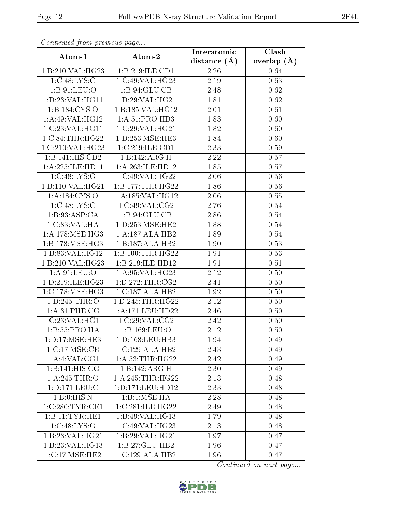| Continuea from previous page |                      | Interatomic    | $\overline{\text{Clash}}$ |
|------------------------------|----------------------|----------------|---------------------------|
| Atom-1                       | Atom-2               | distance $(A)$ | overlap $(A)$             |
| 1:B:210:VAL:HG23             | 1:B:219:ILE:CD1      | 2.26           | 0.64                      |
| 1:C:48:LYS:C                 | 1:C:49:VAL:HG23      | 2.19           | 0.63                      |
| 1: B:91: LEU:O               | 1: B:94: GLU:CB      | 2.48           | 0.62                      |
| 1: D: 23: VAL:HGI1           | 1:D:29:VAL:HG21      | 1.81           | 0.62                      |
| 1:B:184:CYS:O                | 1:B:185:VAL:HG12     | 2.01           | 0.61                      |
| 1:A:49:VAL:HG12              | 1:A:51:PRO:HD3       | 1.83           | 0.60                      |
| 1:C:23:VAL:HG11              | 1:C:29:VAL:HG21      | 1.82           | 0.60                      |
| 1:C:84:THR:HG22              | 1: D: 253: MSE: HE3  | 1.84           | 0.60                      |
| 1:C:210:VAL:HG23             | 1:C:219:ILE:CD1      | 2.33           | 0.59                      |
| 1:B:141:HIS:CD2              | 1:B:142:ARG:H        | 2.22           | 0.57                      |
| 1:A:225:ILE:HD11             | 1:A:263:ILE:HD12     | 1.85           | 0.57                      |
| 1: C:48: LYS:O               | 1:C:49:VAL:HG22      | 2.06           | 0.56                      |
| 1:B:110:VAL:HG21             | 1:B:177:THR:HG22     | 1.86           | 0.56                      |
| 1:A:184:CYS:O                | 1: A: 185: VAL:HG12  | 2.06           | 0.55                      |
| 1:C:48:LYS:C                 | 1:C:49:VAL:CG2       | 2.76           | 0.54                      |
| 1:B:93:ASP:CA                | 1:B:94:GLU:CB        | 2.86           | 0.54                      |
| 1:C:83:VAL:HA                | 1: D: 253: MSE: HE2  | 1.88           | 0.54                      |
| 1: A:178: MSE: HG3           | 1:A:187:ALA:HB2      | 1.89           | $0.54\,$                  |
| 1:B:178:MSE:HG3              | 1:B:187:ALA:HB2      | 1.90           | 0.53                      |
| 1:B:83:VAL:HG12              | 1:B:100:THR:HG22     | 1.91           | 0.53                      |
| 1:B:210:VAL:HG23             | 1:B:219:ILE:HD12     | 1.91           | 0.51                      |
| 1: A:91:LEV:O                | 1: A:95: VAL:HG23    | 2.12           | 0.50                      |
| 1:D:219:ILE:HG23             | 1: D: 272: THR: CG2  | 2.41           | 0.50                      |
| 1:C:178:MSE:HG3              | 1:C:187:ALA:HB2      | $1.92\,$       | 0.50                      |
| 1: D: 245: THR:O             | 1: D: 245: THR: HG22 | 2.12           | 0.50                      |
| 1: A:31:PHE:CG               | 1: A:171: LEU: HD22  | 2.46           | 0.50                      |
| 1:C:23:VAL:HG11              | 1:C:29:VAL:CG2       | 2.42           | 0.50                      |
| 1:B:55:PRO:HA                | 1: B: 169: LEU: O    | 2.12           | 0.50                      |
| 1: D: 17: MSE: HE3           | 1: D: 168: LEU: HB3  | 1.94           | 0.49                      |
| 1:C:17:MSE:CE                | 1:C:129:ALA:HB2      | 2.43           | 0.49                      |
| 1:A:4:VAL:CG1                | 1: A:53:THR:HG22     | 2.42           | 0.49                      |
| 1:B:141:HIS:CG               | 1:B:142:ARG:H        | 2.30           | 0.49                      |
| 1: A:245:THR:O               | 1: A:245:THR:HG22    | 2.13           | 0.48                      |
| 1: D: 171: LEU: C            | 1:D:171:LEU:HD12     | 2.33           | 0.48                      |
| 1:B:0:HIS:N                  | 1:B:1:MSE:HA         | 2.28           | 0.48                      |
| 1:C:280:TYR:CE1              | 1:C:281:ILE:HG22     | 2.49           | 0.48                      |
| 1:B:11:TYR:HE1               | 1:B:49:VAL:HG13      | 1.79           | 0.48                      |
| 1:C:48:LYS:O                 | 1:C:49:VAL:HG23      | 2.13           | 0.48                      |
| 1:B:23:VAL:HG21              | 1: B:29: VAL:HG21    | 1.97           | 0.47                      |
| 1:B:23:VAL:HG13              | 1:B:27:GLU:HB2       | 1.96           | 0.47                      |
| 1:C:17:MSE:HE2               | 1:C:129:ALA:HB2      | 1.96           | 0.47                      |

Continued from previous page.

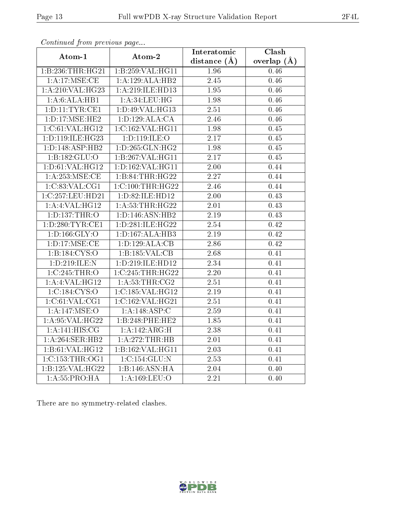| Continued from previous page         |                              | Interatomic    | Clash         |
|--------------------------------------|------------------------------|----------------|---------------|
| Atom-1                               | Atom-2                       | distance $(A)$ | overlap $(A)$ |
| 1:B:236:THR:HG21                     | 1:B:259:VAL:H <sub>G11</sub> | $1.96\,$       | 0.46          |
| 1: A:17: MSE: CE                     | 1:A:129:ALA:HB2              | 2.45           | 0.46          |
| 1:A:210:VAL:HG23                     | 1:A:219:ILE:HD13             | 1.95           | 0.46          |
| 1:A:6:ALA:HB1                        | 1: A:34:LEU:HG               | 1.98           | 0.46          |
| 1: D: 11: TYR: CE1                   | 1:D:49:VAL:HG13              | 2.51           | 0.46          |
| 1: D: 17: MSE: HE2                   | 1: D: 129: ALA: CA           | 2.46           | 0.46          |
| 1:C:61:VAL:HG12                      | 1:C:162:VAL:HG11             | 1.98           | 0.45          |
| 1:D:119:ILE:HG23                     | 1:D:119:ILE:O                | 2.17           | 0.45          |
| 1: D: 148: ASP: HB2                  | 1: D: 265: GLN: HG2          | 1.98           | 0.45          |
| 1:B:182:GLU:O                        | 1:B:267:VAL:HG11             | 2.17           | 0.45          |
| 1: D:61: VAL:HG12                    | 1:D:162:VAL:HG11             | 2.00           | 0.44          |
| 1:A:253:MSE:CE                       | 1:B:84:THR:HG22              | 2.27           | 0.44          |
| 1:C:83:VAL:CG1                       | 1:C:100:THR:HG22             | 2.46           | 0.44          |
| 1:C:257:LEU:HD21                     | 1: D:82: ILE: HD12           | 2.00           | 0.43          |
| 1:A:4:VAL:HG12                       | 1: A:53:THR:HG22             | 2.01           | 0.43          |
| 1: D: 137: THR: O                    | 1: D: 146: ASN: HB2          | 2.19           | 0.43          |
| 1:D:280:TYR:CE1                      | 1:D:281:ILE:HG22             | 2.54           | 0.42          |
| 1: D: 166: GLY: O                    | 1: D: 167: ALA: HB3          | 2.19           | 0.42          |
| $1: D: 17: \overline{\text{MSE:CE}}$ | 1:D:129:ALA:CB               | 2.86           | 0.42          |
| 1: B: 184: CYS:O                     | 1:B:185:VAL:CB               | 2.68           | 0.41          |
| 1:D:219:ILE:N                        | 1:D:219:ILE:HD12             | 2.34           | 0.41          |
| 1:C:245:THR:O                        | 1:C:245:THR:HG22             | 2.20           | 0.41          |
| 1:A:4:VAL:HG12                       | 1: A:53:THR:CG2              | 2.51           | 0.41          |
| 1:C:184:CYS:O                        | 1:C:185:VAL:HG12             | 2.19           | 0.41          |
| 1:C:61:VAL:CG1                       | 1:C:162:VAL:HG21             | 2.51           | 0.41          |
| 1:A:147:MSE:O                        | 1:A:148:ASP:C                | 2.59           | 0.41          |
| 1: A:95: VAL:HG22                    | 1:B:248:PHE:HE2              | 1.85           | 0.41          |
| 1: A:141: HIS: CG                    | 1:A:142:ARG:H                | 2.38           | 0.41          |
| 1:A:264:SER:HB2                      | 1:A:272:THR:HB               | 2.01           | 0.41          |
| 1:B:61:VAL:HG12                      | 1:B:162:VAL:HG11             | 2.03           | 0.41          |
| 1:C:153:THR:OG1                      | 1:C:154:GLU:N                | 2.53           | 0.41          |
| 1:B:125:VAL:H G 22                   | 1:B:146:ASN:HA               | 2.04           | 0.40          |
| 1:A:55:PRO:HA                        | 1:A:169:LEU:O                | 2.21           | 0.40          |

Continued from previous page.

There are no symmetry-related clashes.

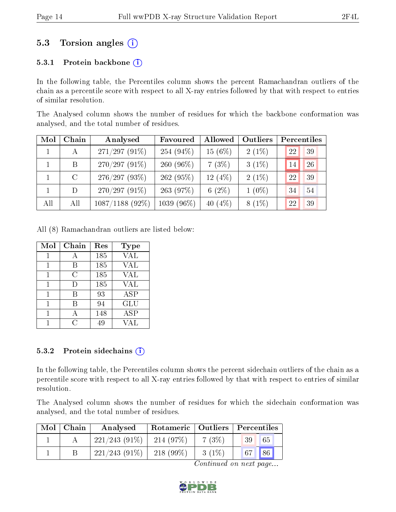### 5.3 Torsion angles (i)

#### 5.3.1 Protein backbone  $(i)$

In the following table, the Percentiles column shows the percent Ramachandran outliers of the chain as a percentile score with respect to all X-ray entries followed by that with respect to entries of similar resolution.

The Analysed column shows the number of residues for which the backbone conformation was analysed, and the total number of residues.

| Mol | Chain   | Analysed          | Favoured    | Allowed    | Outliers |    | Percentiles |
|-----|---------|-------------------|-------------|------------|----------|----|-------------|
|     | A       | $271/297(91\%)$   | $254(94\%)$ | $15(6\%)$  | $2(1\%)$ | 22 | 39          |
|     | B.      | $270/297(91\%)$   | $260(96\%)$ | 7(3%)      | $3(1\%)$ | 14 | 26          |
|     | $\rm C$ | 276/297(93%)      | 262 (95%)   | 12 $(4%)$  | $2(1\%)$ | 22 | 39          |
|     | D.      | $270/297(91\%)$   | 263 (97%)   | 6 $(2\%)$  | $1(0\%)$ | 34 | 54          |
| All | All     | $1087/1188$ (92%) | 1039 (96%)  | 40 $(4\%)$ | $8(1\%)$ | 22 | 39          |

All (8) Ramachandran outliers are listed below:

| Mol | Chain | Res | Type       |
|-----|-------|-----|------------|
|     |       | 185 | VAL        |
|     | В     | 185 | <b>VAL</b> |
| 1   | C     | 185 | <b>VAL</b> |
| 1   | Ð     | 185 | VAL        |
|     | R     | 93  | <b>ASP</b> |
|     | В     | 94  | GLU        |
|     | А     | 148 | ASP        |
|     |       | 49  |            |

#### 5.3.2 Protein sidechains (i)

In the following table, the Percentiles column shows the percent sidechain outliers of the chain as a percentile score with respect to all X-ray entries followed by that with respect to entries of similar resolution.

The Analysed column shows the number of residues for which the sidechain conformation was analysed, and the total number of residues.

| Mol | ⊢Chain | Analysed        | Rotameric   Outliers   Percentiles |          |                       |  |
|-----|--------|-----------------|------------------------------------|----------|-----------------------|--|
|     |        | $221/243(91\%)$ | 214(97%)                           | 7(3%)    | 65<br>39 <sup>°</sup> |  |
|     |        | $221/243(91\%)$ | $218(99\%)$                        | $3(1\%)$ | 86<br>67              |  |

Continued on next page...

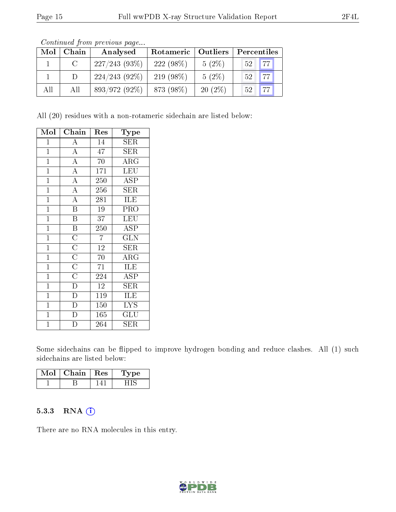| Mol | Chain        | Analysed        | Rotameric   Outliers |           | Percentiles |                   |
|-----|--------------|-----------------|----------------------|-----------|-------------|-------------------|
|     | <sup>C</sup> | $227/243(93\%)$ | $222(98\%)$          | $5(2\%)$  | $52-1$      | 177               |
|     | D            | $224/243(92\%)$ | $219(98\%)$          | $5(2\%)$  | $52-1$      | $.77$ $^{\prime}$ |
| All | All          | 893/972 (92%)   | 873 (98%)            | $20(2\%)$ | $52-1$      | $\sqrt{77}$       |

Continued from previous page...

All (20) residues with a non-rotameric sidechain are listed below:

| Mol            | ${\bf Chain}$           | $\operatorname{Res}% \left( \mathcal{N}\right) \equiv\operatorname{Res}(\mathcal{N}_{0})\cap\mathcal{N}_{1}$ | Type                    |
|----------------|-------------------------|--------------------------------------------------------------------------------------------------------------|-------------------------|
| $\mathbf 1$    | A                       | 14                                                                                                           | SER                     |
| $\mathbf{1}$   | $\overline{A}$          | 47                                                                                                           | $\overline{\text{SER}}$ |
| $\mathbf{1}$   | $\overline{\rm A}$      | 70                                                                                                           | ARG                     |
| $\mathbf{1}$   | $\overline{\rm A}$      | 171                                                                                                          | <b>LEU</b>              |
| $\overline{1}$ | $\overline{A}$          | 250                                                                                                          | <b>ASP</b>              |
| $\mathbf{1}$   | $\overline{\rm A}$      | 256                                                                                                          | SER                     |
| $\mathbf{1}$   | $\overline{A}$          | 281                                                                                                          | ILE                     |
| $\overline{1}$ | $\overline{\mathrm{B}}$ | 19                                                                                                           | PRO                     |
| $\mathbf{1}$   | $\overline{\mathrm{B}}$ | 37                                                                                                           | <b>LEU</b>              |
| $\mathbf{1}$   | $\overline{\mathbf{B}}$ | 250                                                                                                          | ASP                     |
| $\mathbf{1}$   | $\overline{\rm C}$      | $\overline{7}$                                                                                               | <b>GLN</b>              |
| $\mathbf{1}$   | $\overline{C}$          | $\overline{12}$                                                                                              | SER                     |
| $\overline{1}$ | $\overline{C}$          | 70                                                                                                           | $\overline{\rm{ARG}}$   |
| $\mathbf{1}$   | $\overline{C}$          | 71                                                                                                           | ILE                     |
| $\mathbf{1}$   | $\overline{C}$          | 224                                                                                                          | ASP                     |
| $\mathbf{1}$   | $\overline{\text{D}}$   | 12                                                                                                           | ${\rm SER}$             |
| $\mathbf{1}$   | $\overline{\rm D}$      | 119                                                                                                          | ILE                     |
| $\mathbf{1}$   | $\overline{\mathbb{D}}$ | 150                                                                                                          | <b>LYS</b>              |
| $\mathbf{1}$   | $\bar{\rm D}$           | 165                                                                                                          | GLU                     |
| $\overline{1}$ | D                       | 264                                                                                                          | <b>SER</b>              |

Some sidechains can be flipped to improve hydrogen bonding and reduce clashes. All (1) such sidechains are listed below:

| Mol | Chain   Res | vpe |
|-----|-------------|-----|
|     |             |     |

#### 5.3.3 RNA (1)

There are no RNA molecules in this entry.

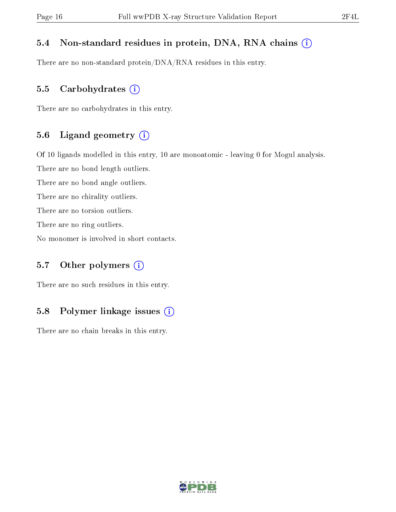#### 5.4 Non-standard residues in protein, DNA, RNA chains (i)

There are no non-standard protein/DNA/RNA residues in this entry.

#### 5.5 Carbohydrates  $(i)$

There are no carbohydrates in this entry.

#### 5.6 Ligand geometry (i)

Of 10 ligands modelled in this entry, 10 are monoatomic - leaving 0 for Mogul analysis.

There are no bond length outliers.

There are no bond angle outliers.

There are no chirality outliers.

There are no torsion outliers.

There are no ring outliers.

No monomer is involved in short contacts.

#### 5.7 [O](https://www.wwpdb.org/validation/2017/XrayValidationReportHelp#nonstandard_residues_and_ligands)ther polymers  $(i)$

There are no such residues in this entry.

#### 5.8 Polymer linkage issues  $(i)$

There are no chain breaks in this entry.

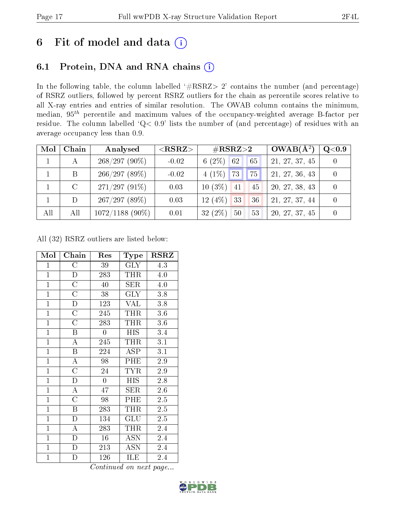## 6 Fit of model and data  $(i)$

### 6.1 Protein, DNA and RNA chains  $(i)$

In the following table, the column labelled  $#RSRZ> 2'$  contains the number (and percentage) of RSRZ outliers, followed by percent RSRZ outliers for the chain as percentile scores relative to all X-ray entries and entries of similar resolution. The OWAB column contains the minimum, median,  $95<sup>th</sup>$  percentile and maximum values of the occupancy-weighted average B-factor per residue. The column labelled ' $Q< 0.9$ ' lists the number of (and percentage) of residues with an average occupancy less than 0.9.

| Mol | Chain        | Analysed          | $<$ RSRZ $>$ | $\rm \#RSRZ{>}2$       | $OWAB(A^2)$    | Q <sub>0.9</sub> |
|-----|--------------|-------------------|--------------|------------------------|----------------|------------------|
|     | $\mathbf{A}$ | $268/297(90\%)$   | $-0.02$      | 6 $(2\%)$<br>62<br>65  | 21, 27, 37, 45 |                  |
|     | B            | 266/297(89%)      | $-0.02$      | $4(1\%)$<br>173<br> 75 | 21, 27, 36, 43 |                  |
|     |              | $271/297(91\%)$   | 0.03         | $10(3\%)$<br>41<br>45  | 20, 27, 38, 43 |                  |
|     | D            | 267/297(89%)      | 0.03         | 12(4%)<br>33<br>36     | 21, 27, 37, 44 |                  |
| All | All          | $1072/1188$ (90%) | 0.01         | $32(2\%)$<br>50<br>53  | 20, 27, 37, 45 |                  |

All (32) RSRZ outliers are listed below:

| Mol            | Chain                   | Res              | Type            | <b>RSRZ</b>      |
|----------------|-------------------------|------------------|-----------------|------------------|
| $\mathbf{1}$   | $\overline{\rm C}$      | 39               | GLY             | 4.3              |
| $\mathbf{1}$   | ${\rm D}$               | 283              | THR             | 4.0              |
| $\mathbf{1}$   | $\overline{\rm C}$      | 40               | <b>SER</b>      | 4.0              |
| $\mathbf{1}$   | $\overline{\rm C}$      | 38               | <b>GLY</b>      | 3.8              |
| $\overline{1}$ | D                       | 123              | $\rm \bar{V}AL$ | 3.8              |
| $\overline{1}$ | $\overline{\text{C}}$   | 245              | THR             | $3.6\,$          |
| $\overline{1}$ | $\overline{\text{C}}$   | 283              | THR             | 3.6              |
| $\mathbf{1}$   | $\boldsymbol{B}$        | $\boldsymbol{0}$ | HIS             | 3.4              |
| $\overline{1}$ | $\overline{\rm A}$      | 245              | <b>THR</b>      | 3.1              |
| $\mathbf{1}$   | $\overline{\mathrm{B}}$ | 224              | <b>ASP</b>      | $\overline{3}.1$ |
| $\mathbf{1}$   | $\boldsymbol{A}$        | 98               | PHE             | 2.9              |
| $\overline{1}$ | $\overline{\rm C}$      | 24               | <b>TYR</b>      | $2.9\,$          |
| $\overline{1}$ | $\overline{D}$          | $\overline{0}$   | <b>HIS</b>      | 2.8              |
| $\mathbf{1}$   | $\overline{\rm A}$      | 47               | $\rm{SER}$      | 2.6              |
| $\overline{1}$ | $\overline{\rm C}$      | 98               | PHE             | $2.5\,$          |
| $\overline{1}$ | $\boldsymbol{B}$        | 283              | THR             | 2.5              |
| $\overline{1}$ | $\overline{\rm D}$      | 134              | GLU             | 2.5              |
| $\mathbf{1}$   | A                       | 283              | THR             | 2.4              |
| $\mathbf{1}$   | $\overline{\rm D}$      | 16               | <b>ASN</b>      | 2.4              |
| $\mathbf{1}$   | $\mathbf{D}$            | 213              | <b>ASN</b>      | 2.4              |
| $\mathbf{1}$   | D                       | 126              | ILE             | 2.4              |

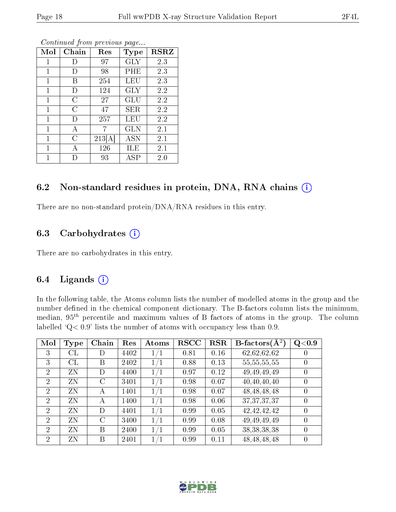| Mol          | Chain          | Res    | Type       | <b>RSRZ</b> |
|--------------|----------------|--------|------------|-------------|
| 1            | Ð              | 97     | <b>GLY</b> | 2.3         |
| 1            | I)             | 98     | PHE        | 2.3         |
| 1            | В              | 254    | LEU        | 2.3         |
| $\mathbf 1$  | D              | 124    | <b>GLY</b> | 2.2         |
| 1            | $\overline{C}$ | 27     | GLU        | 2.2         |
| 1            | $\overline{C}$ | 47     | SER        | 2.2         |
| 1            | D              | 257    | LEU        | 2.2         |
| 1            | А              |        | GLN        | 2.1         |
| $\mathbf{1}$ | $\overline{C}$ | 213[A] | <b>ASN</b> | $2.1\,$     |
| 1            | А              | 126    | ILE        | $2.1\,$     |
| 1            |                | 93     | ASP        | 2.0         |

Continued from previous page...

#### 6.2 Non-standard residues in protein, DNA, RNA chains (i)

There are no non-standard protein/DNA/RNA residues in this entry.

#### 6.3 Carbohydrates (i)

There are no carbohydrates in this entry.

#### 6.4 Ligands  $(i)$

In the following table, the Atoms column lists the number of modelled atoms in the group and the number defined in the chemical component dictionary. The B-factors column lists the minimum, median,  $95<sup>th</sup>$  percentile and maximum values of B factors of atoms in the group. The column labelled  $Q < 0.9$ ' lists the number of atoms with occupancy less than 0.9.

| Mol            | Type     | Chain | Res  | Atoms   | <b>RSCC</b> | $_{\rm RSR}$ | B-factors $\overline{(\mathbf{A}^2)}$ | Q<0.9            |
|----------------|----------|-------|------|---------|-------------|--------------|---------------------------------------|------------------|
| 3              | $\rm CL$ | I)    | 4402 | 1/1     | 0.81        | 0.16         | 62,62,62,62                           |                  |
| 3              | CL       | В     | 2402 | 1/1     | 0.88        | 0.13         | 55, 55, 55, 55                        | $\left( \right)$ |
| $\overline{2}$ | ZN       | D)    | 4400 | $1/1\,$ | 0.97        | 0.12         | 49, 49, 49, 49                        |                  |
| $\overline{2}$ | ZN       | C     | 3401 | 1/1     | 0.98        | 0.07         | 40,40,40,40                           | $\left( \right)$ |
| $\overline{2}$ | ZN       | A     | 1401 | 1/1     | 0.98        | 0.07         | 48, 48, 48, 48                        | $\left( \right)$ |
| $\overline{2}$ | ZN       | A     | 1400 | 1/1     | 0.98        | 0.06         | 37, 37, 37, 37                        |                  |
| $\overline{2}$ | ZN       | D     | 4401 | 1/1     | 0.99        | 0.05         | 42, 42, 42, 42                        | $\left( \right)$ |
| $\overline{2}$ | ZN       | C     | 3400 | 1/1     | 0.99        | 0.08         | 49, 49, 49, 49                        | 0                |
| $\overline{2}$ | ZN       | В     | 2400 | 1/1     | 0.99        | 0.05         | 38, 38, 38, 38                        |                  |
| 2              | ZΝ       | В     | 2401 | $1/1\,$ | 0.99        | 0.11         | 48, 48, 48, 48                        |                  |